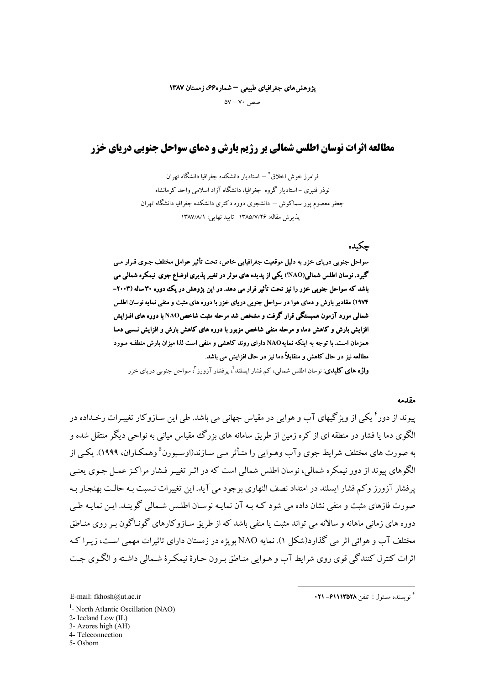### یژوهشهای جغرافیای طبیعی – شماره۶۶، زمستان ۱۳۸۷

 $\Delta V - V \cdot$ صص

# **مطالعه اثرات نوسان اطلس شمالی بر رژیم بارش و دمای سواحل حنوبی دریای خزر**

فرامرز خوش اخلاق ؓ — استادبار دانشکده حغرافیا دانشگاه تھران نو ذر قنبری –استادیار گروه جغرافیا، دانشگاه آزاد اسلامی واحد کرمانشاه جعفر معصوم پور سماکوش – دانشجوی دوره دکتری دانشکده جغرافیا دانشگاه تهران يذيرش مقاله: ١٣٨٥/٧/٢۶ تاييد نهايي: ١٣٨٧/٨/١

## حكىدە

سواحل جنوبی دریای خزر به دلیل موقعیت جغرافیایی خاص، تحت تأثیر عوامل مختلف جـوی قـرار مـی گیرد. نوسان اطلس شمالی(NAO') یکی از پدیده های موثر در تغییر پذیری اوضاع جوی نیمکره شمالی می باشد که سواحل جنوبی خزر را نیز تحت تأثیر قرار می دهد. در این پژوهش در یک ددوره ۳۰ ساله (۲۰۰۳-۱۹۷۴) مقادیر بارش و دمای هوا در سواحل جنوبی دریای خزر با دوره های مثبت و منفی نمایه نوسان اطلس شمالی مورد آزمون همبستگی قرار گرفت و مشخص شد مرحله مثبت شاخصNAO با دوره های افـزایش افزایش بارش و کاهش دما، و مرحله منفی شاخص مزبور با دوره های کاهش بارش و افزایش نـسبی دمـا همزمان است. با توجه به اینکه نمایهNAO دارای روند کاهشی و منفی است لذا میزان بارش منطقـه مـورد مطالعه نیز در حال کاهش و متقابلاً دما نیز در حال افزایش می باشد.

**واژه های کلیدی**: نوسان اطلس شمالی، کم فشار ایسلند<sup>٬</sup>، یرفشار آزورز <sup>۳</sup>، سواحل جنوبی دریای خزر

#### مقدمه

پیوند از دور ٔ یکی از ویژ گیهای آب و هوایی در مقیاس جهانی می باشد. طی این سـازوکار تغییـرات رخـداده در الگوی دما یا فشار در منطقه ای از کره زمین از طریق سامانه های بزرگ مقیاس میانی به نواحی دیگر منتقل شده و به صورت های مختلف شرایط جوی وآب وهـوایی را متـأثر مـبی سـازند(اوسـبورن<sup>۵</sup>وهمکـاران، ۱۹۹۹). یکـبی از الگوهای پیوند از دور نیمکره شمالی، نوسان اطلس شمالی است که در اثـر تغییـر فـشار مراکـز عمـل جـوی یعنـی پرفشار آزورز وکم فشار ایسلند در امتداد نصف النهاری بوجود می آید. این تغییرات نـسبت بـه حالـت بهنجـار بـه صورت فازهای مثبت و منفی نشان داده می شود کـه بـه آن نمایـه نوسـان اطلـس شـمالی گوینـد. ایـن نمایـه طـی دوره های زمانی ماهانه و سالانه می تواند مثبت یا منفی پاشد که از طریق سیاز وکارهای گونیاگون پیر روی منباطق مختلف آب و هوائے اثر مے گذارد(شکل ۱). نمایه NAO بویژه در زمستان دارای تاثیرات مهمی است، زیـرا کـه اثرات کنترل کنندگی قوی روی شرایط آب و هـوایی منـاطق بـرون حـارهٔ نیمکـرهٔ شـمالی داشـته و الگـوی جـت

- <sup>1</sup>- North Atlantic Oscillation (NAO)
- 2- Iceland Low (IL)

5-Osborn

E-mail: fkhosh@ut.ac.ir

<sup>3-</sup> Azores high (AH)

<sup>4-</sup> Teleconnection

<sup>\*</sup> نو يسنده مسئول : تلفن **٢٥٢٨-٣١٩- ٢١**٠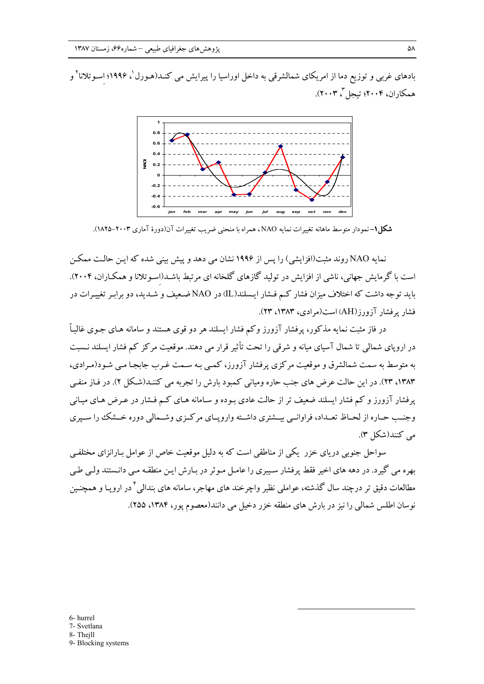بادهای غربی و توزیع دما از امریکای شمالشرقی به داخل اوراسیا را پیرایش می کنــد(هـورل`، ۱۹۹۶؛ اسـوتلانا<sup>۲</sup> و همکاران، ۲۰۰۴؛ تبجلٌ ۳۰۰۳).



**شکل۱**– نمودار متوسط ماهانه تغییرات نمایه NAO، همراه با منحنی ضریب تغییرات آن(دورهٔ آماری ۲۰۰۳–۱۸۲۵).

نمایه NAO روند مثبت(افزایشی) را پس از ۱۹۹۶ نشان می دهد و پیش بینی شده که ایـن حالـت ممکـن است با گرمایش جهانی، ناشی از افزایش در تولید گازهای گلخانه ای مرتبط باشـد(اسـوتلانا و همکـاران، ۲۰۰۴). باید توجه داشت که اختلاف میزان فشار کـم فـشار ایـسلند(IL) در NAO ضـعیف و شـدید، دو برابـر تغییـرات در فشار یرفشار آزورز(AH) است(مرادی، ۱۳۸۳، ۲۳).

در فاز مثبت نمایه مذکور، پرفشار آزورز وکم فشار ایسلند هر دو قوی هستند و سامانه هـای جـوی غالبـاً در اروپای شمالی تا شمال آسیای میانه و شرقی را تحت تأثیر قرار می دهند. موقعیت مرکز کم فشار ایسلند نـسبت به متوسط به سمت شمالشرق و موقعیت مرکزی پرفشار آزورز، کمپی بـه سـمت غـرب جابجـا مـی شـود(مـرادی، ۱۳۸۳، ۲۳). در این حالت عرض های جنب حاره ومیانی کمبود بارش را تجربه می کننـد(شـکل ۲). در فـاز منفـی یرفشار آزورز و کم فشار ایسلند ضعیف تر از حالت عادی بـوده و سـامانه هـای کـم فـشار در عـرض هـای میـانی وجنب حـاره از لحـاظ تعـداد، فراوانـبي بيــشتري داشــته وارويــاي مركــزي وشــمالي دوره خــشك را سـيري می کنند(شکل ۳).

سواحل جنوبی دریای خزر یکی از مناطقی است که به دلیل موقعیت خاص از عوامل بـارانزای مختلفـی بهره می گیرد. در دهه های اخیر فقط پرفشار سـیبری را عامـل مـوثر در بـارش ایـن منطقـه مـی دانـستند ولـی طـی مطالعات دقیق تر درچند سال گذشته، عوامل<sub>ی</sub> نظیر واچرخند های مهاجر، سامانه های بندال<sub>ی</sub> ٔ در اروپـا و همچنـین نوسان اطلس شمالي را نيز در بارش هاي منطقه خزر دخيل مي دانند(معصوم يور، ١٣٨۴، ٢٥٥).

6- hurrel 7- Svetlana

- 8- Thejll
- 9- Blocking systems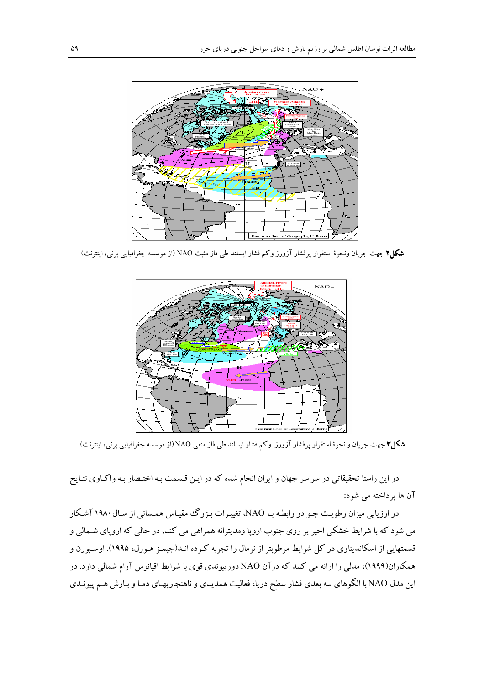

**شکل۲** جهت جریان ونحوهٔ استقرار پرفشار آزورز وکم فشار ایسلند طی فاز مثبت NAO (از موسسه جغرافیایی برنی، اینترنت)



**شکل۳** جهت جریان و نحوهٔ استقرار پرفشار آزورز وکم فشار ایسلند طی فاز منفی NAO(از موسسه جغرافیایی برنی، اینترنت)

در این راستا تحقیقاتی در سراسر جهان و ایران انجام شده که در ایـن قـسمت بـه اختـصار بـه واکـاوی نتـایج آن ها پر داخته می شود:

در ارزیابی میزان رطوبت جـو در رابطـه بـا NAO، تغییـرات بـزرگ مقیـاس همـسانی از سـال ۱۹۸۰ آشـكار می شود که با شرایط خشکی اخیر بر روی جنوب اروپا ومدیترانه همراهی می کند، در حالی که اروپای شـمالی و قسمتهایی از اسکاندیناوی در کل شرایط مرطوبتر از نرمال را تجربه کـرده انـد(جیمـز هـورل، ۱۹۹۵). اوسـبورن و همکاران(۱۹۹۹)، مدلی را ارائه می کنند که درآن NAO دورپیوندی قوی با شرایط اقیانوس آرام شمالی دارد. در این مدل NAO با الگوهای سه بعدی فشار سطح دریا، فعالیت همدیدی و ناهنجاریهـای دمـا و بـارش هـم پیونـدی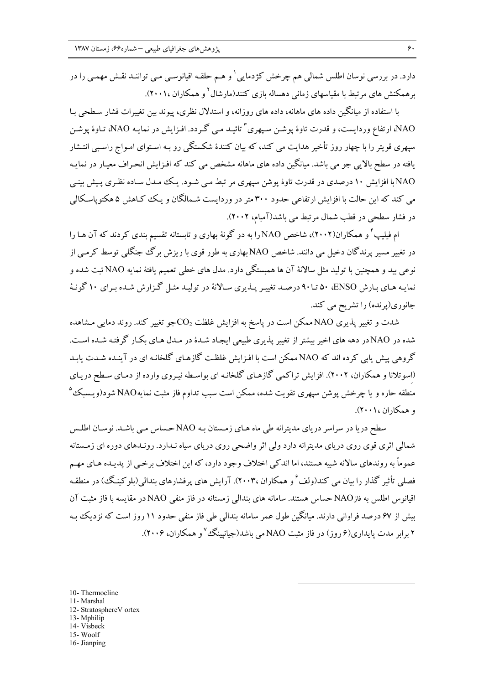دارد. در بررسی نوسان اطلس شمالی هم چرخش کژدمایی' و هـم حلقـه اقیانوسـی مـی تواننـد نقـش مهمـی را در برهمکنش های مرتبط با مقیاسهای زمانی دهساله بازی کنند(مارشال<sup>۲</sup>و همکاران ۲۰۰۱،).

با استفاده از مبانگین داده های ماهانه، داده های روزانه، و استدلال نظری، پیوند بین تغییرات فشار سیطحی با NAO، ارتفاع وردايست، و قدرت تاوهٔ يوشـن سـيهري "تائيـد مـي گـردد. افـزايش در نمايـه NAO، تـاوهٔ يوشـن سپهري قويتر را با چهار روز تأخير هدايت مي كند، كه بيان كنندهٔ شكستگي رو بـه اسـتواي امـواج راسـبي انتـشار یافته در سطح بالایی جو می باشد. میانگین داده های ماهانه مشخص می کند که افـزایش انحـراف معیـار در نمایـه NAO با افزایش ۱۰ درصدی در قدرت تاوهٔ پوشن سپهری مر تبط مبی شـود. یـک مـدل سـاده نظـری پـیش بینـی می کند که این حالت با افزایش ارتفاعی حدود ۳۰۰ متر در وردایست شـمالگان و یـک کـاهش ۵ هکتوپاسـکالمی در فشار سطحی در قطب شمال مرتبط می باشد(آمبام، ۲۰۰۲).

ام فیلیپ ٔ و همکاران(۲۰۰۲)، شاخص NAO را به دو گونهٔ بهاری و تابستانه تقسیم بندی کردند که آن هـا را در تغییر مسیر پرندگان دخیل می دانند. شاخص NAO بهاری به طور قوی با ریزش برگ جنگلی توسط کرمبی از نوعی بید و همچنین با تولید مثل سالانهٔ آن ها همبستگی دارد. مدل های خطی تعمیم یافتهٔ نمایه NAO ثبت شده و نمایـه هـاي بـارش ENSO، ۵۰ تـا۹۰ درصـد تغييـر پـذيري سـالانهٔ در توليـد مثـل گـزارش شـده بـراي ۱۰ گونـهٔ جانوری(پرنده) را تشریح می کند.

شدت و تغییر پذیری NAO ممکن است در پاسخ به افزایش غلظت CO<sub>2</sub>جو تغییر کند. روند دمای<sub>جا</sub> مشاهده شده در NAOدر دهه های اخیر بیشتر از تغییر پذیری طبیعی ایجاد شـدهٔ در مـدل هـای بکـار گرفتـه شـده اسـت. گروهی پیش پابی کرده اند که NAO ممکن است با افـزایش غلظـت گازهـای گلخانـه ای در آینـده شـدت پابـد (اسوتلانا و همکاران، ۲۰۰۲). افزایش تراکمی گازهای گلخانـه ای بواسـطه نیـروی وارده از دمـای سـطح دریـای منطقه حاره و یا چرخش یوشن سیهری تقویت شده، ممکن است سبب تداوم فاز مثبت نمایهNAO شود(ویـسبک<sup>۵</sup> و همكاران ٢٠٠١).

سطح دریا در سراسر دریای مدیترانه طی ماه هـای زمـستان بـه NAO حـساس مـی باشـد. نوسـان اطلـس شمالی اثری قوی روی دریای مدیترانه دارد ولی اثر واضحی روی دریای سیاه نـدارد. رونـدهای دوره ای زمـستانه عموماً به روندهای سالانه شبیه هستند، اما اندکی اختلاف وجود دارد، که این اختلاف برخبی از پدیـده هـای مهـم فصلی تأثیر گذار را بیان می کند(ولف ً و همکاران ،۲۰۰۳). آرایش های پرفشارهای بندالی(بلوکینگ) در منطقـه اقیانوس اطلس به فازNAO حساس هستند. سامانه های بندالی زمستانه در فاز منفی NAO در مقایسه با فاز مثبت آن بیش از ۶۷ درصد فراوانی دارند. میانگین طول عمر سامانه بندالی طی فاز منفی حدود ۱۱ روز است که نزدیک بـه ۲ برابر مدت پایداری(۶ روز) در فاز مثبت NAO می باشد(جیانپینگ<sup>۷</sup> و همکاران، ۲۰۰۶).

10- Thermocline 11- Marshal 12- StratosphereV ortex 13- Mphilip 14- Visbeck 15-Woolf 16-Jianping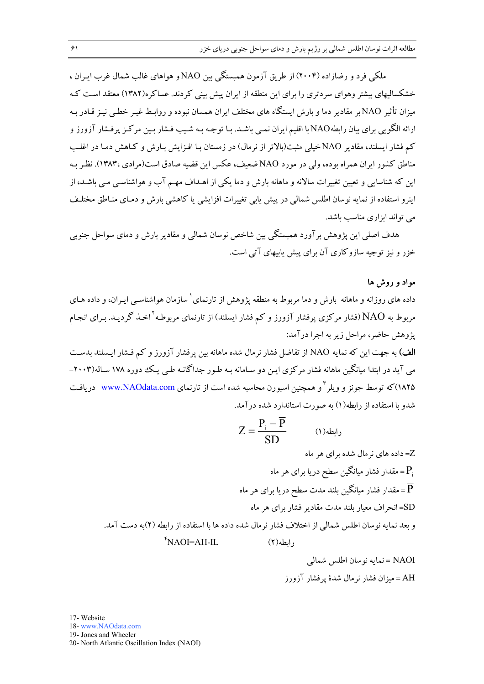ملکی فرد و رضازاده (۲۰۰۴) از طریق آزمون همبستگی بین NAO و هواهای غالب شمال غرب ایبران ، خشکسالبهای بیشتر وهوای سردتری را برای این منطقه از ایران پیش بینی کردند. عساکره(۱۳۸۲) معتقد است کـه مبزان تأثیر NAO بر مقادیر دما و بارش ایستگاه های مختلف ایران همسان نبوده و روابط غیبر خطبی نیـز قیادر بـه ارائه الگویبی برای بیان رابطهNAO با اقلیم ایران نمـی باشـد. بـا توجـه بـه شـیب فـشار بـین مرکـز پرفـشار آزورز و کم فشار ایسلند، مقادیر NAO خیلی مثبت(بالاتر از نرمال) در زمستان بـا افـزایش بـارش و کـاهش دمـا در اغلـب مناطق کشور ایران همراه بوده، ولی در مورد NAO ضعیف، عکس این قضیه صادق است(مرادی ۱۳۸۳). نظر بـه این که شناسایی و تعیین تغییرات سالانه و ماهانه بارش و دما یکی از اهـداف مهـم آب و هواشناسـی مـی باشـد، از اینرو استفاده از نمایه نوسان اطلس شمالی در پیش پابی تغییرات افزایشی یا کاهشی بارش و دمـای منـاطق مختلـف می تواند ابزاری مناسب باشد.

هدف اصلی این پژوهش بر آورد همبستگی بین شاخص نوسان شمالی و مقادیر بارش و دمای سواحل جنوبی خزر و نیز توجیه سازوکاری آن برای پیش پابیهای آتی است.

### مواد و روش ها

داده های روزانه و ماهانه بارش و دما مربوط به منطقه یژوهش از تارنمای سازمان هواشناسبی ایـران، و داده هـای مربوط به NAO (فشار مرکزی پرفشار آزورز و کم فشار ایسلند) از تارنمای مربوطـه <sup>۲</sup>اخـذ گردیـد. بـرای انجـام يژوهش حاضر، مراحل زير به اجرا درآمد:

**الف)** به جهت این که نمایه NAO از تفاضل فشار نرمال شده ماهانه بین یرفشار آزورز و کم فـشار ایـسلند بدسـت می آید در ابتدا میانگین ماهانه فشار مرکزی ایـن دو سـامانه بـه طـور جداگانـه طـی یـک دوره ۱۷۸ سـاله(۲۰۰۳– ۱۸۲۵)که توسط جونز و ویلر <sup>۳</sup> و همچنین اسبورن محاسبه شده است از تارنمای <u>www.NAOdata.com</u> دریافت شدو با استفاده از ۱ ابطه(۱) به صورت استاندارد شده در آمد.

$$
Z = \frac{P_i - \overline{P}}{SD}
$$
 (1)

NAOI = نمايه نوسان اطلس شمالي AH = ميزان فشار نرمال شدهٔ يرفشار آزورز

17- Website

18- www.NAOdata.com

19- Jones and Wheeler

20- North Atlantic Oscillation Index (NAOI)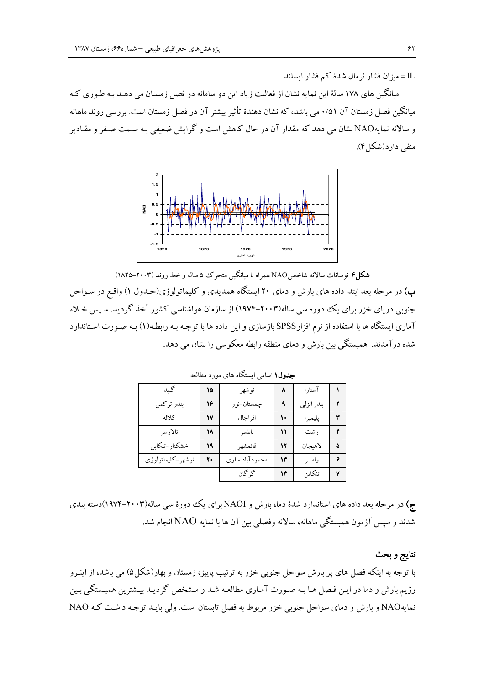IL = میزان فشار نرمال شدهٔ کم فشار ایسلند

میانگین های ۱۷۸ سالهٔ این نمایه نشان از فعالیت زیاد این دو سامانه در فصل زمستان می دهـد بـه طـوری کـه مبانگین فصل زمستان آن ۰/۵۱ می باشد، که نشان دهندهٔ تأثیر بیشتر آن در فصل زمستان است. بررسی روند ماهانه و سالانه نمایهNAO نشان می دهد که مقدار آن در حال کاهش است و گرایش ضعیفی بـه سـمت صـفر و مقـادیر منفي دارد(شكل ۴).



شکل۴ نوسانات سالانه شاخص NAO همراه با مبانگین متحرک ۵ ساله و خط روند (۲۰۰۳–۱۸۲۵)

ب) در مرحله بعد ابتدا داده های بارش و دمای ۲۰ ایستگاه همدیدی و کلیماتولوژی(جـدول ۱) واقـع در سـواحل جنوبی دریای خزر برای یک دوره سی ساله(۲۰۰۳–۱۹۷۴) از سازمان هواشناسی کشور أخذ گردید. سیس خـلاء آماری ایستگاه ها با استفاده از نرم افزارSPSS بازسازی و این داده ها با توجـه بـه رابطـه(۱) بـه صـورت اسـتاندارد شده در آمدند. همبستگی بین بارش و دمای منطقه رابطه معکوسی را نشان می دهد.

| گنبد              | ۱۵ | نوشهر          | ۸  | آستارا     |   |
|-------------------|----|----------------|----|------------|---|
| بندر تركمن        | ۱٦ | چمستان–نو ر    |    | بندر انزلي |   |
| كلاله             | ۱۷ | افراچال        | ١. | پليمبرا    | ٣ |
| تالارسر           | ۱۸ | بابلسر         | ۱۱ | رشت        | ۴ |
| خشكنار –تنكابن    | ۱۹ | قائمشهر        | ۱۲ | لاهبجان    | ۵ |
| نوشهر–کلیماتولوژی | ۲. | محمودآباد سارى | ۱۳ | رامسر      | ۶ |
|                   |    | گر گان         | 14 | تنكابن     | ۷ |

جدول ۱ اسامی ایستگاه های مورد مطالعه

ج) در مرحله بعد داده های استاندارد شدهٔ دما، بارش و NAOIبرای یک ددورهٔ سی ساله(۲۰۰۳–۱۹۷۴)دسته بندی شدند و سپس آزمون همبستگی ماهانه، سالانه وفصلی بین آن ها با نمایه NAO انجام شد.

نتايج و بحث با توجه به اینکه فصل های پر بارش سواحل جنوبی خزر به ترتیب پاییز، زمستان و بهار(شکل۵) می باشد، از اینـرو رژیم بارش و دما در ایـن فـصل هـا بـه صـورت آمـاری مطالعـه شـد و مـشخص گردیـد بیـشترین همبـستگی بـین نمایهNAO و بارش و دمای سواحل جنوبی خزر مربوط به فصل تابستان است. ولی بایـد توجـه داشـت کـه NAO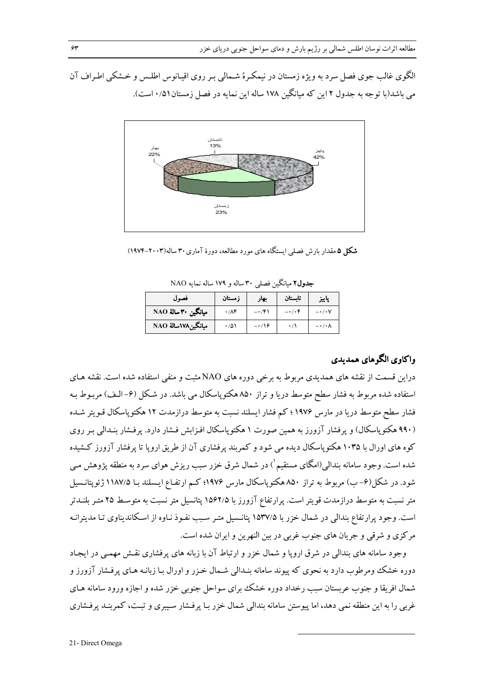الگوی غالب جوی فصل سرد به ویژه زمستان در نیمکرهٔ شـمالی بـر روی اقیـانوس اطلـس و خـشکی اطـراف آن می باشد(با توجه به جدول ۲ این که مبانگین ۱۷۸ ساله این نمایه در فصل زمستان(۰/۵ است).



شکل ۵ مقدار بارش فصلی ایستگاه های مورد مطالعه، دورهٔ آماری ۳۰ ساله(۲۰۰۳–۱۹۷۴)

| فصول                | ز مستان              | بهار   | تاستان   | پاييز                       |
|---------------------|----------------------|--------|----------|-----------------------------|
| ميانگين ٣٠ سالۀ NAO | $\cdot$ / $\wedge$ ۴ | -۰/۴۱  | $-$ ./.۴ | $ \cdot$ / $\cdot$ V        |
| ميانگين۱۷۸سالهٔ NAO | ۱۵۱                  | $-119$ |          | $-\cdot$ / $\cdot$ $\wedge$ |

جدول۲ مبانگین فصلی ۳۰ ساله و ۱۷۹ ساله نمایه NAO

# واكاوي الگوهاي همديدي

دراین قسمت از نقشه های همدیدی مربوط به برخی دوره های NAO مثبت و منفی استفاده شده است. نقشه هـای استفاده شده مربوط به فشار سطح متوسط دریا و تراز ۸۵۰ هکتوپاسکال می باشد. در شکل (۶–الـف) مربـوط بـه فشار سطح متوسط دریا در مارس ۱۹۷۶؛ کم فشار ایسلند نسبت به متوسط درازمدت ۱۲ هکتوپاسکال قـویتر شـده (۹۹۰ هکتوپاسکال) و پرفشار آزورز به همین صورت ۱ هکتوپاسکال افـزابش فـشار دارد. پرفـشار بنـدالی بـر روی کوه های اورال با ۱۰۳۵ هکتوپاسکال دیده می شود و کمربند پرفشاری آن از طریق اروپا تا پرفشار آزورز کـشیده شده است. وجود سامانه بندالی(امگای مستقیم`) در شمال شرق خزر سبب ریزش هوای سرد به منطقه پژوهش مـی شود. در شکل(۶–ب) مربوط به تراز ۸۵۰ هکتوپاسکال مارس ۱۹۷۶؛ کـم ارتفـاع ایـسلند بـا ۱۱۸۷/۵ ژئوپتانـسیل متر نسبت به متوسط درازمدت قویتر است. پرارتفاع آزورز با ۱۵۶۲/۵ پتانسیل متر نسبت به متوسط ۲۵ متـر بلنــدتر است. وجود پرارتفاع بندالی در شمال خزر با ۱۵۳۷/۵ پتانسیل متـر سـبب نفـوذ نـاوه از اسـکاندیناوی تـا مدیترانـه مرکزی و شرقی و جریان های جنوب غربی در بین النهرین و ایران شده است.

وجود سامانه های بندالی در شرق اروپا و شمال خزر و ارتباط آن با زبانه های پرفشاری نقش مهمبی در ایجاد دوره خشک ومرطوب دارد به نحوی که پیوند سامانه بنـدالی شـمال خـزر و اورال بـا زبانـه هـای پرفـشار آزورز و شمال افریقا و جنوب عربستان سبب رخداد دوره خشک برای سواحل جنوبی خزر شده و اجازه ورود سامانه هـای غربی را به این منطقه نمی دهد، اما پیوستن سامانه بندالی شمال خزر بـا پرفـشار سـیبری و تبـت، کمربنـد پرفـشاری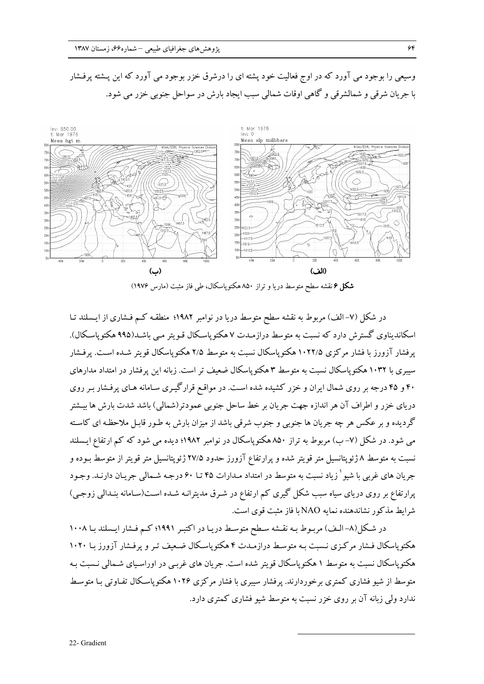

وسیعی را بوجود می آورد که در اوج فعالیت خود پشته ای را درشرق خزر بوجود می آورد که این پـشته پرفـشار با جريان شرقي و شمالشرقي و گاهي اوقات شمالي سبب ايجاد بارش در سواحل جنوبي خزر مي شود.

**شکل ۶** نقشه سطح متوسط دریا و تراز ۸۵۰ هکتوپاسکال، طی فاز مثبت (مارس ۱۹۷۶)

در شکل (۷- الف) مربوط به نقشه سطح متوسط دریا در نوامبر ۱۹۸۲؛ منطقـه کـم فـشاری از ایـسلند تـا اسکاندیناوی گسترش دارد که نسبت به متوسط درازمـدت ۷ هکتوپاسـکال قـویتر مـی باشـد(۹۹۵ هکتوپاسـکال). یر فشار آزورز با فشار مرکزی ۱۰۲۲/۵ هکتوپاسکال نسبت به متوسط ۲/۵ هکتوپاسکال قویتر شـده اسـت. پرفـشار سپیری با ۱۰۳۲ هکتو پاسکال نسبت به متوسط ۳ هکتو پاسکال ضعیف تر است. زیانه این پرفشار در امتداد مدارهای ۴۰ و ۴۵ درجه بر روی شمال ایران و خزر کشیده شده است. در مواقع قرارگیـری سـامانه هـای پرفـشار بـر روی دریای خزر و اطراف آن هر اندازه جهت جریان بر خط ساحل جنوبی عمودتر(شمالی) باشد شدت بارش ها بیـشتر گردیده و بر عکس هر چه جریان ها جنوبی و جنوب شرقی باشد از میزان بارش به طـور قابـل ملاحظـه ای کاسـته می شود. در شکل (۷– ب) مربوط به تراز ۸۵۰ هکتوپاسکال در نوامبر ۱۹۸۲؛ دیده می شود که کم ارتفاع ایسلند نسبت به متوسط ۸ ژئوپتانسیل متر قویتر شده و پرارتفاع آزورز حدود ۲۷/۵ ژئوپتانسیل متر قویتر از متوسط بـوده و جریان های غربی با شیو ٔ زیاد نسبت به متوسط در امتداد مـدارات ۴۵ تـا ۶۰ درجـه شـمالی جریـان دارنـد. وجـود پرارتفاع بر روی دریای سیاه سبب شکل گیری کم ارتفاع در شـرق مدیترانـه شـده اسـت(سـامانه بنـدالی زوجـی) شرايط مذكور نشاندهنده نمايه NAO با فاز مثبت قوى است.

در شکل(۸– الـف) مربـوط بـه نقـشه سـطح متوسـط دريـا در اکتبـر ۱۹۹۱؛ کـم فـشار ايـسلند بـا ۱۰۰۸ هکتوپاسکال فـشار مرکـزی نـسبت بـه متوسـط درازمـدت ۴ هکتوپاسـکال ضـعیف تـر و پرفـشار آزورز بـا ۱۰۲۰ هکتوپاسکال نسبت به متوسط ۱ هکتوپاسکال قویتر شده است. جریان های غرببی در اوراسیای شـمالی نـسبت بـه متوسط از شیو فشاری کمتری برخوردارند. یرفشار سیبری با فشار مرکزی ۱۰۲۶ هکتوپاسکال تفـاوتی بـا متوسـط ندارد ولي زيانه آن بر روي خزر نسبت به متوسط شيو فشاري كمترى دارد.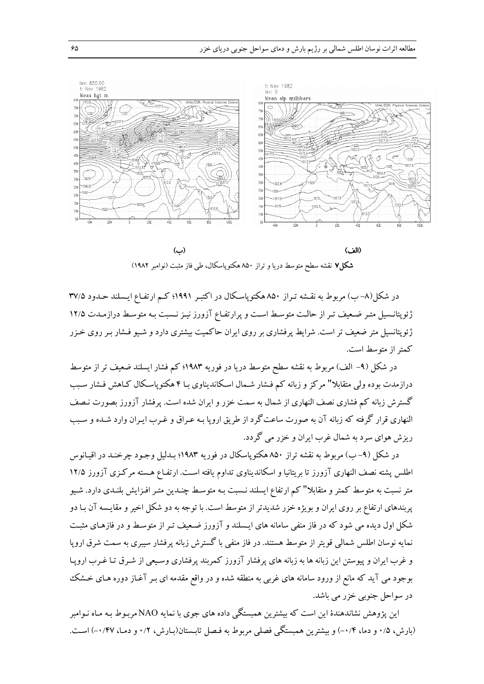

(پ) (الف) شکل۷ نقشه سطح متوسط دریا و تراز ۸۵۰ هکتوپاسکال، طی فاز مثبت (نوامبر ۱۹۸۲)

در شکل(۸– ب) مربوط به نقشه تـراز ۸۵۰ هکتوپاسـکال در اکتبـر ۱۹۹۱؛ کـم ارتفـاع ايـسلند حـدود ۳۷/۵ ژئوپتانـسیل متـر ضـعیف تـر از حالـت متوسـط اسـت و پرارتفـاع آزورز نیـز نـسبت بـه متوسـط درازمـدت ۱۲/۵ ژئوپتانسیل متر ضعیف تر است. شرایط پرفشاری بر روی ایران حاکمیت بیشتری دارد و شـیو فـشار بـر روی خـزر كمتر از متوسط است.

در شکل (۹– الف) مربوط به نقشه سطح متوسط دریا در فوریه ۱۹۸۳؛ کم فشار ایسلند ضعیف تر از متوسط درازمدت بوده ولي متقابلا" مركز و زبانه كم فــشار شــمال اسـكانديناوي بــا ۴ هكتوياسـكال كــاهش فــشار سـبب گسترش زبانه کم فشاری نصف النهاری از شمال به سمت خزر و ایران شده است. پرفشار آزورز بصورت نـصف النهاری قرار گرفته که زبانه آن به صورت ساعت گرد از طریق اروپا بـه عـراق و غـرب ایـران وارد شـده و سـبب ریزش هوای سرد به شمال غرب ایران و خزر می گردد.

در شکل (۹–ب) مربوط به نقشه تراز ۸۵۰ هکتوپاسکال در فوریه ۱۹۸۳؛ بـدلیل وجـود چرخنـد در اقیـانوس اطلس پشته نصف النهاری آزورز تا بریتانیا و اسکاندیناوی تداوم یافته است. ارتفـاع هـسته مرکـزی آزورز ۱۲/۵ متر نسبت به متوسط کمتر و متقابلا" کم ارتفاع ایسلند نـسبت بـه متوسـط چنـدین متـر افـزایش بلنـدی دارد. شـیو پربندهای ارتفاع بر روی ایران و بویژه خزر شدیدتر از متوسط است. با توجه به دو شکل اخیر و مقایسه آن بـا دو شکل اول دیده می شود که در فاز منفی سامانه های ایـسلند و آزورز ضـعیف تـر از متوسـط و در فازهـای مثبـت نمایه نوسان اطلس شمالی قویتر از متوسط هستند. در فاز منفی با گسترش زبانه پرفشار سیبری به سمت شرق اروپا و غرب ایران و پیوستن این زبانه ها به زبانه های پرفشار آزورز کمربند پرفشاری وسیعی از شـرق تـا غـرب اروپـا بوجود می آید که مانع از ورود سامانه های غربی به منطقه شده و در واقع مقدمه ای بـر آغـاز دوره هـای خـشک در سواحل جنوبي خزر مي باشد.

این پژوهش نشاندهندهٔ این است که بیشترین همبستگی داده های جوی با نمایه NAO مربـوط بـه مـاه نـوامبر (بارش، ۰/۵ و دما، ۰/۴–) و بیشترین همبستگی فصلی مربوط به فـصل تابـستان(بـارش، ۰/۲ و دمـا، ۰/۴۷–) اسـت.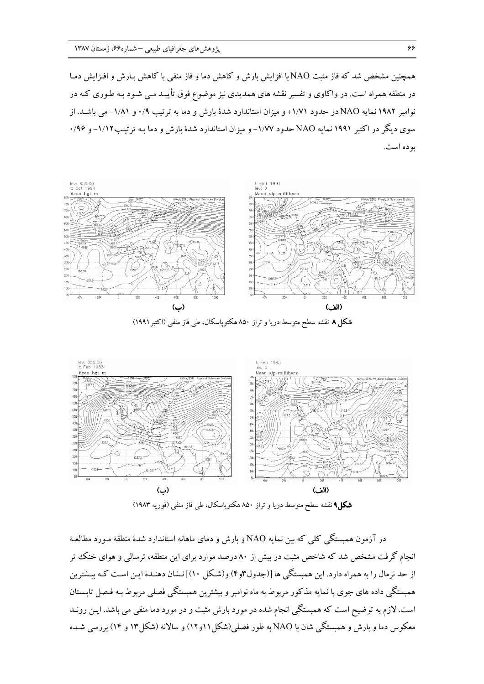همچنین مشخص شد که فاز مثبت NAO با افزایش بارش و کاهش دما و فاز منفی با کاهش بـارش و افـزایش دمـا در منطقه همراه است. در واکاوی و تفسیر نقشه های همدیدی نیز موضوع فوق تأییـد مـی شـود بـه طـوری کـه در نوامبر ۱۹۸۲ نمایه NAOدر حدود ۱/۷۱+ و میزان استاندارد شدهٔ بارش و دما به ترتیب ۰/۹ و ۱/۸۱- می باشـد. از سوی دیگر در اکتبر ۱۹۹۱ نمایه NAO حدود ۱/۷۷- و میزان استاندارد شدهٔ بارش و دما بـه ترتیـب۱/۱۲- و ۰/۹۶ بو ده است.



شکل ۸ نقشه سطح متوسط دریا و تراز ۸۵۰ هکتوپاسکال، طی فاز منفی (اکتبر ۱۹۹۱)



**شکل۹** نقشه سطح متوسط دریا و تراز ۸۵۰ هکتوپاسکال، طی فاز منفی (فوریه ۱۹۸۳)

در آزمون همبستگی کلمی که بین نمایه NAO و بارش و دمای ماهانه استاندارد شدهٔ منطقه مـورد مطالعـه انجام گرفت مشخص شد که شاخص مثبت در بیش از ۸۰ درصد موارد برای این منطقه، ترسالی و هوای خنک تر از حد نرمال را به همراه دارد. این همبستگی ها [(جدول۳و۴) و(شـكل ۱۰)] نـشان دهنـدهٔ ایـن اسـت كـه بیـشترین همبستگی داده های جوی با نمایه مذکور مربوط به ماه نوامبر و بیشترین همبستگی فصلبی مربوط بـه فـصل تابـستان است. لازم به توضیح است که همبستگی انجام شده در مورد بارش مثبت و در مورد دما منفی می باشد. ایـن رونـد معکوس دما و بارش و همبستگی شان با NAO به طور فصلی(شکل۱۱و۱۲) و سالانه (شکل۱۳ و ۱۴) بررسی شـده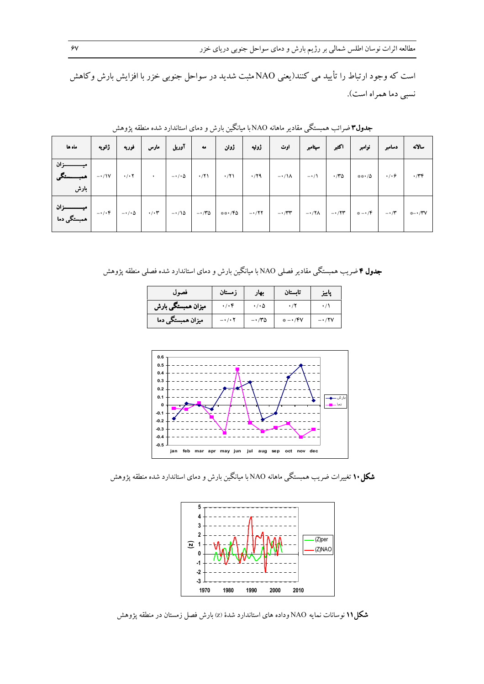است که وجود ارتباط را تأیید می کنند(یعنی NAOمثبت شدید در سواحل جنوبی خزر با افزایش بارش وکاهش نسبي دما همراه است).

| أ ماه ها                                            | ژانویه      | مارس   فوریه | آوريل | 4a | ژوئیه   ژوئن | ا اوت ا                                                                                                   | سپتامبر | ا اکثیر | نوامبر | دسامبر | سالانه      |
|-----------------------------------------------------|-------------|--------------|-------|----|--------------|-----------------------------------------------------------------------------------------------------------|---------|---------|--------|--------|-------------|
| بارش                                                | $-1$ $\vee$ |              |       |    |              |                                                                                                           |         |         |        |        | $\cdot$ /۳۴ |
| ۰/۰۴    میـــــــــــزان  <br>  ۰/۰۴    همبستگی دما |             |              |       |    |              | $-1/10$   $1/17$   $-1/10$   $-1/10$   $**/10$   $-1/17$   $-1/17$   $-1/17$   $-1/17$   $*$ $-1/7$   $*$ |         |         |        |        | *− • ⁄۳۷    |

**جدول۳**ضرائب همبستگی مقادیر ماهانه NAO با میانگین بارش و دمای استاندارد شده منطقه پژوهش

جدول ۴ ضریب همبستگی مقادیر فصلی NAO با میانگین بارش و دمای استاندارد شده فصلی منطقه پژوهش

| فصول                            | زمستان                       | .بهار      | تابستان  | پاييز |
|---------------------------------|------------------------------|------------|----------|-------|
| <sub>ا</sub> میزان همبستگی بارش | $\cdot$ / $\cdot$ $\epsilon$ | ۰/۰۵       |          |       |
| میزان همبستگی دما               | $ \cdot$ / $\cdot$ $\cdot$   | $\cdot$ ro | * −• /۴V |       |



**شکل ۱۰ ت**غییرات ضریب همبستگی ماهانه NAO با میانگین بارش و دمای استاندارد شده منطقه پژوهش



شکل1۱ نوسانات نمایه NAO وداده های استاندارد شدهٔ (z) بارش فصل زمستان در منطقه پژوهش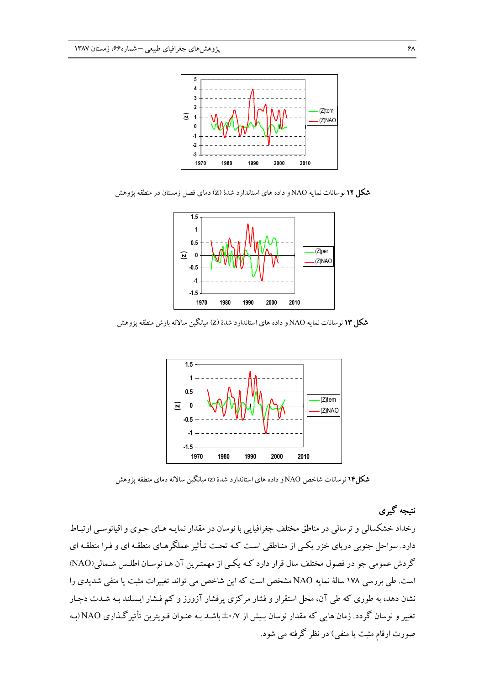

شکل ۱۲ نوسانات نمایه NAO و داده های استاندارد شدهٔ (Z) دمای فصل زمستان در منطقه پژوهش



شکل ۱۳ نوسانات نمایه NAO و داده های استاندارد شدهٔ (Z) میانگین سالانه بارش منطقه پژوهش



**شکل۱۴** نوسانات شاخص NAO و داده های استاندارد شدهٔ (z) میانگین سالانه دمای منطقه یژوهش

## نتیجه گیری

رخداد خشکسالم و ترسالم ٍ در مناطق مختلف جغرافیایی با نوسان در مقدار نمایـه هـای جـوی و اقیانوسـی ارتبـاط دارد. سواحل جنوبی دریای خزر یکبی از منـاطقی اسـت کـه تحـت تـأثیر عملگرهـای منطقـه ای و فـرا منطقـه ای گردش عمومی جو در فصول مختلف سال قرار دارد کـه یکـی از مهمتـرین آن هـا نوسـان اطلـس شـمالی(NAO) است. طی بررسی ۱۷۸ سالهٔ نمایه NAO مشخص است که این شاخص می تواند تغییرات مثبت یا منفی شدیدی را نشان دهد، به طوری که طی آن، محل استقرار و فشار مرکزی پرفشار آزورز و کم فشار ایسلند بـه شـدت دچـار تغییر و نوسان گردد. زمان هایی که مقدار نوسان بـیش از ۰/۷±باشـد بـه عنـوان قـویترین تأثیرگـذاری NAO(بـه صورت ارقام مثبت یا منفی) در نظر گرفته می شود.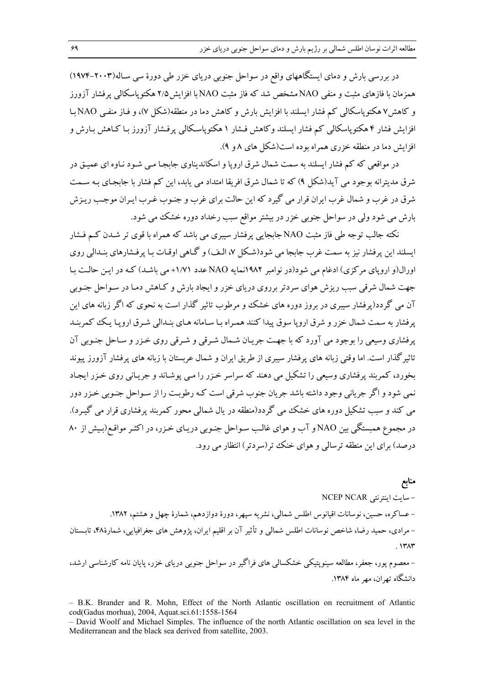در بررسی بارش و دمای ایستگاههای واقع در سواحل جنوبی دریای خزر طی دورهٔ سی سـاله(۲۰۰۳–۱۹۷۴) همزمان با فازهای مثبت و منفی NAO مشخص شد که فاز مثبت NAO با افزایش ۲/۵ هکتوپاسکالی پرفشار آزورز و کاهش ۷ هکتو پاسکالی کم فشار ایسلند با افزایش بارش و کاهش دما در منطقه(شکل ۷)، و فیاز منفی NAO با افزایش فشار ۴ هکتوپاسکالی کم فشار ایسلند وکاهش فـشار ۱ هکتوپاسـکالی پرفـشار آزورز بـا کـاهش بـارش و افزایش دما در منطقه خزری همراه بوده است(شکل های ۸ و ۹).

در مواقعی که کم فشار ایسلند به سمت شمال شرق اروپا و اسکاندیناوی جابجـا مـی شـود نـاوه ای عمیـق در شرق مدیترانه بوجود می آید(شکل ۹) که تا شمال شرق افریقا امتداد می پابد، این کم فشار با جابجـای بـه سـمت شرق در غرب و شمال غرب ایران قرار می گیرد که این حالت برای غرب و جنـوب غـرب ایـران موجـب ریـزش بارش می شود ولی در سواحل جنوبی خزر در بیشتر مواقع سبب رخداد دوره خشک می شود.

نکته جالب توجه طی فاز مثبت NAO جابجایی پرفشار سیبری می باشد که همراه با قوی تر شـدن کـم فـشار ابسلند این پرفشار نیز به سمت غرب جامجا می شود(شکل ۷، البف) و گیاهی اوقیات بیا پرفشارهای بنیدالی روی اورال(و اروپای مرکزی) ادغام می شود(در نوامبر ۱۹۸۲نمایه NAO عدد ۱/۷۱+ می باشـد) کـه در ایـن حالـت بـا جهت شمال شرقی سبب ریزش هوای سردتر برروی دریای خزر و ایجاد بارش و کـاهش دمـا در سـواحل جنـوبی آن می گردد(پرفشار سیبری در بروز دوره های خشک و مرطوب تاثیر گذار است به نحوی که اگر زبانه های این پرفشار به سمت شمال خزر و شرق اروپا سوق پیدا کنند همـراه بـا سـامانه هـای بنـدالی شـرق اروپـا یـک کمربنـد پرفشاری وسیعی را بوجود می آورد که با جهت جریان شـمال شـرقی و شـرقی روی خـزر و سـاحل جنـوبی آن تاثیرگذار است. اما وقتی زبانه های پرفشار سیبری از طریق ایران و شمال عربستان با زبانه های پرفشار آزورز پیوند بخورد، کمربند پرفشاری وسیعی را تشکیل می دهند که سراسر خـزر را مـی پوشـاند و جریـانی روی خـزر ایجـاد نمي شود و اگر جرياني وجود داشته باشد جريان جنوب شرقي است كـه رطوبـت را از سـواحل جنـوبي خـزر دور می کند و سب تشکیل دوره های خشک می گردد(منطقه در پال شمالی محور کمربند پرفشاری قرار می گیـرد). در مجموع همبستگی بین NAO و آب و هوای غالب سـواحل جنـوبی دریـای خـزر، در اکثـر مواقـع(بـیش از ۸۰ درصد) برای این منطقه ترسالی و هوای خنک تر(سردتر) انتظار می رود.

منابع - سايت اينترنتي NCEP NCAR – عساکره، حسین، نوسانات اقیانوس اطلس شمالی، نشریه سپهر، دورهٔ دوازدهم، شمارهٔ چهل و هشتم، ۱۳۸۲. – مرادی، حمید رضا، شاخص نوسانات اطلس شمالی و تأثیر آن بر اقلیم ایران، پژوهش های جغرافیایی، شمارهٔ۴۸، تابستان  $.147$ 

– معصوم یور، جعفر، مطالعه سینویتیکی خشکسالی های فراگیر در سواحل جنوبی دریای خزر، پایان نامه کارشناسی ارشد، دانشگاه تهران، مهر ماه ۱۳۸۴.

- B.K. Brander and R. Mohn, Effect of the North Atlantic oscillation on recruitment of Atlantic cod(Gadus morhua), 2004, Aquat.sci.61:1558-1564

- David Woolf and Michael Simples. The influence of the north Atlantic oscillation on sea level in the Mediterranean and the black sea derived from satellite. 2003.